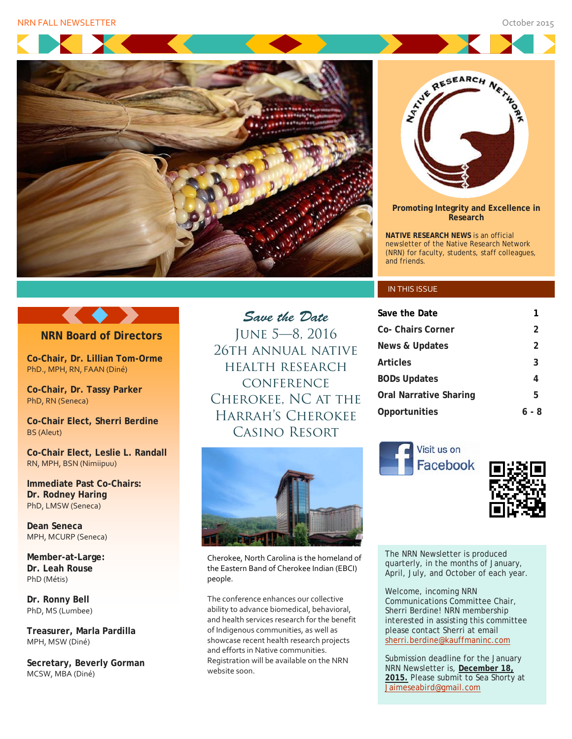



**Promoting Integrity and Excellence in Research**

**NATIVE RESEARCH NEWS** is an official newsletter of the Native Research Network (NRN) for faculty, students, staff colleagues, and friends.

#### IN THIS ISSUE

| Save the Date          |       |
|------------------------|-------|
| Co- Chairs Corner      | 2     |
| News & Updates         | 2     |
| Articles               | 3     |
| <b>BODs Updates</b>    | 4     |
| Oral Narrative Sharing | 5     |
| Opportunities          | 6 - 8 |





The NRN Newsletter is produced quarterly, in the months of January, April, July, and October of each year.

Welcome, incoming NRN Communications Committee Chair, Sherri Berdine! NRN membership interested in assisting this committee please contact Sherri at email [sherri.berdine@kauffmaninc.com](mailto:sherri.berdine@kauffmaninc.com)

Submission deadline for the January NRN Newsletter is, **December 18, 2015.** Please submit to Sea Shorty at [Jaimeseabird@gmail.com](mailto:Jaimeseabird@gmail.com)

### **NRN Board of Directors**

**Co-Chair, Dr. Lillian Tom-Orme** PhD., MPH, RN, FAAN (Diné)

**Co-Chair, Dr. Tassy Parker** PhD, RN (Seneca)

**Co-Chair Elect, Sherri Berdine** BS (Aleut)

**Co-Chair Elect, Leslie L. Randall** RN, MPH, BSN (Nimiipuu)

**Immediate Past Co-Chairs: Dr. Rodney Haring** PhD, LMSW (Seneca)

**Dean Seneca** MPH, MCURP (Seneca)

**Member-at-Large: Dr. Leah Rouse** PhD (Métis)

**Dr. Ronny Bell**  PhD, MS (Lumbee)

**Treasurer, Marla Pardilla** MPH, MSW (Diné)

**Secretary, Beverly Gorman** MCSW, MBA (Diné)

health research **CONFERENCE** Cherokee, NC at the Harrah's Cherokee Casino Resort

*Save the Date* June 5—8, 2016 26th annual native



Cherokee, North Carolina is the homeland of the Eastern Band of Cherokee Indian (EBCI) people.

The conference enhances our collective ability to advance biomedical, behavioral, and health services research for the benefit of Indigenous communities, as well as showcase recent health research projects and efforts in Native communities. Registration will be available on the NRN website soon.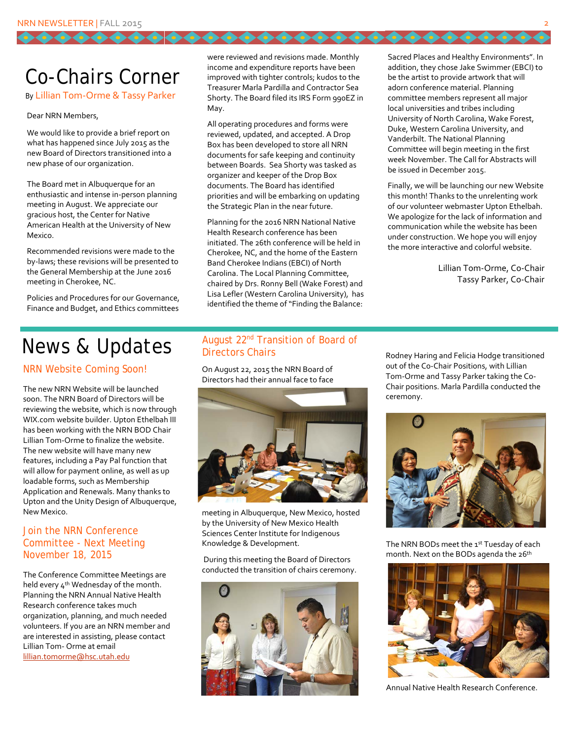### Co-Chairs Corner

#### By Lillian Tom-Orme & Tassy Parker

#### Dear NRN Members,

We would like to provide a brief report on what has happened since July 2015 as the new Board of Directors transitioned into a new phase of our organization.

The Board met in Albuquerque for an enthusiastic and intense in-person planning meeting in August. We appreciate our gracious host, the Center for Native American Health at the University of New Mexico.

Recommended revisions were made to the by-laws; these revisions will be presented to the General Membership at the June 2016 meeting in Cherokee, NC.

Policies and Procedures for our Governance, Finance and Budget, and Ethics committees were reviewed and revisions made. Monthly income and expenditure reports have been improved with tighter controls; kudos to the Treasurer Marla Pardilla and Contractor Sea Shorty. The Board filed its IRS Form 990EZ in May.

All operating procedures and forms were reviewed, updated, and accepted. A Drop Box has been developed to store all NRN documents for safe keeping and continuity between Boards. Sea Shorty was tasked as organizer and keeper of the Drop Box documents. The Board has identified priorities and will be embarking on updating the Strategic Plan in the near future.

Planning for the 2016 NRN National Native Health Research conference has been initiated. The 26th conference will be held in Cherokee, NC, and the home of the Eastern Band Cherokee Indians (EBCI) of North Carolina. The Local Planning Committee, chaired by Drs. Ronny Bell (Wake Forest) and Lisa Lefler (Western Carolina University), has identified the theme of "Finding the Balance:

Sacred Places and Healthy Environments". In addition, they chose Jake Swimmer (EBCI) to be the artist to provide artwork that will adorn conference material. Planning committee members represent all major local universities and tribes including University of North Carolina, Wake Forest, Duke, Western Carolina University, and Vanderbilt. The National Planning Committee will begin meeting in the first week November. The Call for Abstracts will be issued in December 2015.

,,,,,,,,,,,,,,

Finally, we will be launching our new Website this month! Thanks to the unrelenting work of our volunteer webmaster Upton Ethelbah. We apologize for the lack of information and communication while the website has been under construction. We hope you will enjoy the more interactive and colorful website.

> Lillian Tom-Orme, Co-Chair Tassy Parker, Co-Chair

### News & Updates

#### NRN Website Coming Soon!

The new NRN Website will be launched soon. The NRN Board of Directors will be reviewing the website, which is now through WIX.com website builder. Upton Ethelbah III has been working with the NRN BOD Chair Lillian Tom-Orme to finalize the website. The new website will have many new features, including a Pay Pal function that will allow for payment online, as well as up loadable forms, such as Membership Application and Renewals. Many thanks to Upton and the Unity Design of Albuquerque, New Mexico.

#### Join the NRN Conference Committee - Next Meeting November 18, 2015

The Conference Committee Meetings are held every 4<sup>th</sup> Wednesday of the month. Planning the NRN Annual Native Health Research conference takes much organization, planning, and much needed volunteers. If you are an NRN member and are interested in assisting, please contact Lillian Tom- Orme at email [lillian.tomorme@hsc.utah.edu](mailto:lillian.tomorme@hsc.utah.edu)

### August 22nd Transition of Board of Directors Chairs

On August 22, 2015 the NRN Board of Directors had their annual face to face



meeting in Albuquerque, New Mexico, hosted by the University of New Mexico Health Sciences Center Institute for Indigenous Knowledge & Development.

During this meeting the Board of Directors conducted the transition of chairs ceremony.



Rodney Haring and Felicia Hodge transitioned out of the Co-Chair Positions, with Lillian Tom-Orme and Tassy Parker taking the Co-Chair positions. Marla Pardilla conducted the ceremony.



The NRN BODs meet the 1st Tuesday of each month. Next on the BODs agenda the 26<sup>th</sup>



Annual Native Health Research Conference.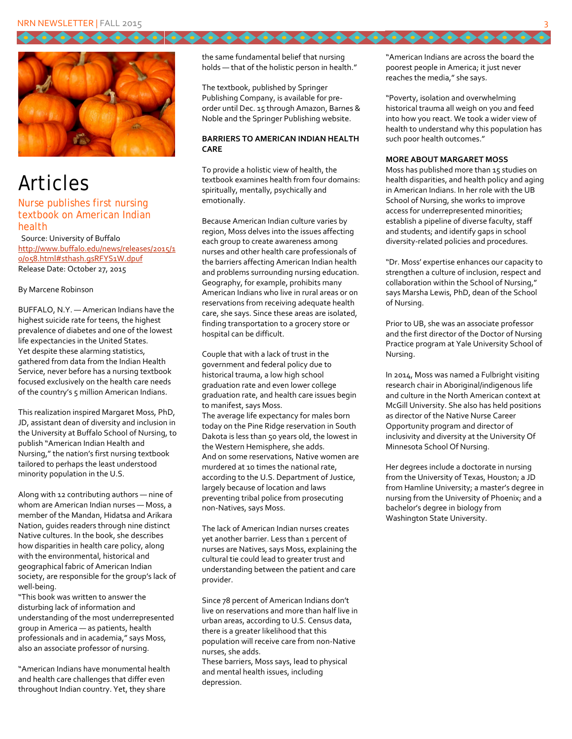

# Articles

#### Nurse publishes first nursing textbook on American Indian health

Source: University of Buffalo [http://www.buffalo.edu/news/releases/2015/1](http://www.buffalo.edu/news/releases/2015/10/058.html#sthash.gsRFYS1W.dpuf) [0/058.html#sthash.gsRFYS1W.dpuf](http://www.buffalo.edu/news/releases/2015/10/058.html#sthash.gsRFYS1W.dpuf) Release Date: October 27, 2015

#### By Marcene Robinson

BUFFALO, N.Y. — American Indians have the highest suicide rate for teens, the highest prevalence of diabetes and one of the lowest life expectancies in the United States. Yet despite these alarming statistics, gathered from data from the Indian Health Service, never before has a nursing textbook focused exclusively on the health care needs of the country's 5 million American Indians.

This realization inspired Margaret Moss, PhD, JD, assistant dean of diversity and inclusion in the University at Buffalo School of Nursing, to publish "American Indian Health and Nursing," the nation's first nursing textbook tailored to perhaps the least understood minority population in the U.S.

Along with 12 contributing authors — nine of whom are American Indian nurses — Moss, a member of the Mandan, Hidatsa and Arikara Nation, guides readers through nine distinct Native cultures. In the book, she describes how disparities in health care policy, along with the environmental, historical and geographical fabric of American Indian society, are responsible for the group's lack of well-being.

"This book was written to answer the disturbing lack of information and understanding of the most underrepresented group in America — as patients, health professionals and in academia," says Moss, also an associate professor of nursing.

"American Indians have monumental health and health care challenges that differ even throughout Indian country. Yet, they share

the same fundamental belief that nursing holds — that of the holistic person in health."

The textbook, published by Springer Publishing Company, is available for preorder until Dec. 15 through Amazon, Barnes & Noble and the Springer Publishing website.

#### **BARRIERS TO AMERICAN INDIAN HEALTH CARE**

To provide a holistic view of health, the textbook examines health from four domains: spiritually, mentally, psychically and emotionally.

Because American Indian culture varies by region, Moss delves into the issues affecting each group to create awareness among nurses and other health care professionals of the barriers affecting American Indian health and problems surrounding nursing education. Geography, for example, prohibits many American Indians who live in rural areas or on reservations from receiving adequate health care, she says. Since these areas are isolated, finding transportation to a grocery store or hospital can be difficult.

Couple that with a lack of trust in the government and federal policy due to historical trauma, a low high school graduation rate and even lower college graduation rate, and health care issues begin to manifest, says Moss. The average life expectancy for males born today on the Pine Ridge reservation in South Dakota is less than 50 years old, the lowest in the Western Hemisphere, she adds. And on some reservations, Native women are murdered at 10 times the national rate, according to the U.S. Department of Justice, largely because of location and laws preventing tribal police from prosecuting non-Natives, says Moss.

The lack of American Indian nurses creates yet another barrier. Less than 1 percent of nurses are Natives, says Moss, explaining the cultural tie could lead to greater trust and understanding between the patient and care provider.

Since 78 percent of American Indians don't live on reservations and more than half live in urban areas, according to U.S. Census data, there is a greater likelihood that this population will receive care from non-Native nurses, she adds.

These barriers, Moss says, lead to physical and mental health issues, including depression.

"American Indians are across the board the poorest people in America; it just never reaches the media," she says.

0000000

"Poverty, isolation and overwhelming historical trauma all weigh on you and feed into how you react. We took a wider view of health to understand why this population has such poor health outcomes."

#### **MORE ABOUT MARGARET MOSS**

Moss has published more than 15 studies on health disparities, and health policy and aging in American Indians. In her role with the UB School of Nursing, she works to improve access for underrepresented minorities; establish a pipeline of diverse faculty, staff and students; and identify gaps in school diversity-related policies and procedures.

"Dr. Moss' expertise enhances our capacity to strengthen a culture of inclusion, respect and collaboration within the School of Nursing," says Marsha Lewis, PhD, dean of the School of Nursing.

Prior to UB, she was an associate professor and the first director of the Doctor of Nursing Practice program at Yale University School of Nursing.

In 2014, Moss was named a Fulbright visiting research chair in Aboriginal/indigenous life and culture in the North American context at McGill University. She also has held positions as director of the Native Nurse Career Opportunity program and director of inclusivity and diversity at the University Of Minnesota School Of Nursing.

Her degrees include a doctorate in nursing from the University of Texas, Houston; a JD from Hamline University; a master's degree in nursing from the University of Phoenix; and a bachelor's degree in biology from Washington State University.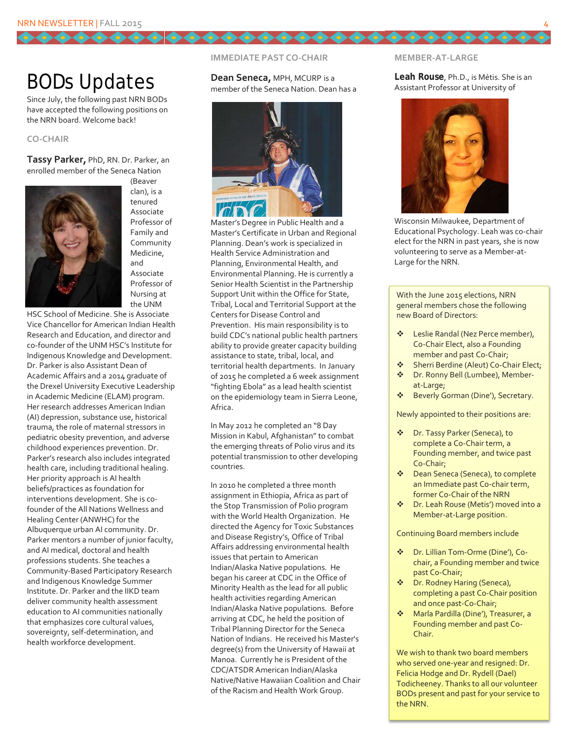### BODs Updates

Since July, the following past NRN BODs have accepted the following positions on the NRN board. Welcome back!

#### **CO-CHAIR**

**Tassy Parker,** PhD, RN. Dr. Parker, an enrolled member of the Seneca Nation



(Beaver clan), is a tenured Associate Professor of Family and Community Medicine, and Associate Professor of Nursing at the UNM

HSC School of Medicine. She is Associate Vice Chancellor for American Indian Health Research and Education, and director and co-founder of the UNM HSC's Institute for Indigenous Knowledge and Development. Dr. Parker is also Assistant Dean of Academic Affairs and a 2014 graduate of the Drexel University Executive Leadership in Academic Medicine (ELAM) program. Her research addresses American Indian (AI) depression, substance use, historical trauma, the role of maternal stressors in pediatric obesity prevention, and adverse childhood experiences prevention. Dr. Parker's research also includes integrated health care, including traditional healing. Her priority approach is AI health beliefs/practices as foundation for interventions development. She is cofounder of the All Nations Wellness and Healing Center (ANWHC) for the Albuquerque urban AI community. Dr. Parker mentors a number of junior faculty, and AI medical, doctoral and health professions students. She teaches a Community-Based Participatory Research and Indigenous Knowledge Summer Institute. Dr. Parker and the IIKD team deliver community health assessment education to AI communities nationally that emphasizes core cultural values, sovereignty, self-determination, and health workforce development.

#### **IMMEDIATE PAST CO-CHAIR**

**Dean Seneca,** MPH, MCURP is a member of the Seneca Nation. Dean has a



Master's Degree in Public Health and a Master's Certificate in Urban and Regional Planning. Dean's work is specialized in Health Service Administration and Planning, Environmental Health, and Environmental Planning. He is currently a Senior Health Scientist in the Partnership Support Unit within the Office for State, Tribal, Local and Territorial Support at the Centers for Disease Control and Prevention. His main responsibility is to build CDC's national public health partners ability to provide greater capacity building assistance to state, tribal, local, and territorial health departments. In January of 2015 he completed a 6 week assignment "fighting Ebola" as a lead health scientist on the epidemiology team in Sierra Leone, Africa.

In May 2012 he completed an "8 Day Mission in Kabul, Afghanistan" to combat the emerging threats of Polio virus and its potential transmission to other developing countries.

In 2010 he completed a three month assignment in Ethiopia, Africa as part of the Stop Transmission of Polio program with the World Health Organization. He directed the Agency for Toxic Substances and Disease Registry's, Office of Tribal Affairs addressing environmental health issues that pertain to American Indian/Alaska Native populations. He began his career at CDC in the Office of Minority Health as the lead for all public health activities regarding American Indian/Alaska Native populations. Before arriving at CDC, he held the position of Tribal Planning Director for the Seneca Nation of Indians. He received his Master's degree(s) from the University of Hawaii at Manoa. Currently he is President of the CDC/ATSDR American Indian/Alaska Native/Native Hawaiian Coalition and Chair of the Racism and Health Work Group.

#### **MEMBER-AT-LARGE**

66666666666666666

#### **Leah Rouse**, Ph.D., is Métis. She is an Assistant Professor at University of



Wisconsin Milwaukee, Department of Educational Psychology. Leah was co-chair elect for the NRN in past years, she is now volunteering to serve as a Member-at-Large for the NRN.

With the June 2015 elections, NRN general members chose the following new Board of Directors:

- Leslie Randal (Nez Perce member), Co-Chair Elect, also a Founding member and past Co-Chair;
- Sherri Berdine (Aleut) Co-Chair Elect;
- ◆ Dr. Ronny Bell (Lumbee), Memberat-Large;
- ◆ Beverly Gorman (Dine'), Secretary.

Newly appointed to their positions are:

- Dr. Tassy Parker (Seneca), to complete a Co-Chair term, a Founding member, and twice past Co-Chair;
- Dean Seneca (Seneca), to complete an Immediate past Co-chair term, former Co-Chair of the NRN
- Dr. Leah Rouse (Metis') moved into a Member-at-Large position.

Continuing Board members include

- Dr. Lillian Tom-Orme (Dine'), Cochair, a Founding member and twice past Co-Chair;
- Dr. Rodney Haring (Seneca), completing a past Co-Chair position and once past-Co-Chair;
- Marla Pardilla (Dine'), Treasurer, a Founding member and past Co-Chair.

We wish to thank two board members who served one-year and resigned: Dr. Felicia Hodge and Dr. Rydell (Dael) Todicheeney. Thanks to all our volunteer BODs present and past for your service to the NRN.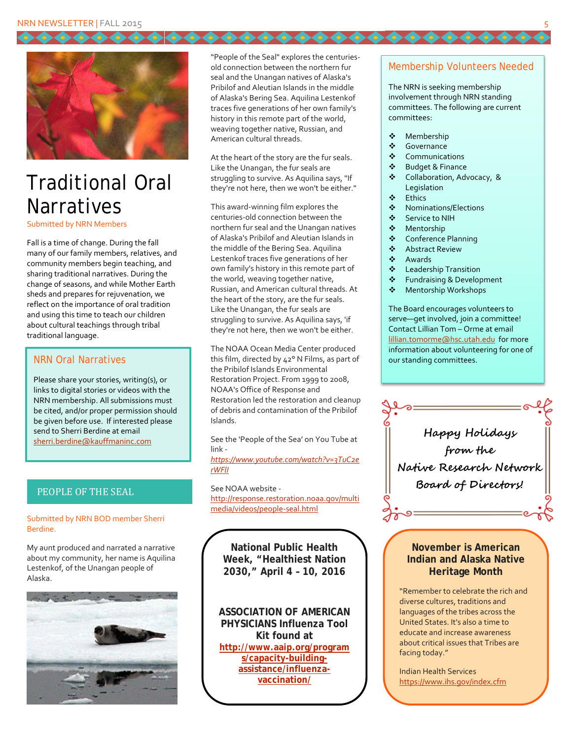

## Traditional Oral **Narratives**

Submitted by NRN Members

Fall is a time of change. During the fall many of our family members, relatives, and community members begin teaching, and sharing traditional narratives. During the change of seasons, and while Mother Earth sheds and prepares for rejuvenation, we reflect on the importance of oral tradition and using this time to teach our children about cultural teachings through tribal traditional language.

#### NRN Oral Narratives

Please share your stories, writing(s), or links to digital stories or videos with the NRN membership. All submissions must be cited, and/or proper permission should be given before use. If interested please send to Sherri Berdine at email [sherri.berdine@kauffmaninc.com](mailto:sherri.berdine@kauffmaninc.com)

#### PEOPLE OF THE SEAL

#### Submitted by NRN BOD member Sherri Berdine.

My aunt produced and narrated a narrative about my community, her name is Aquilina Lestenkof, of the Unangan people of Alaska.



"People of the Seal" explores the centuriesold connection between the northern fur seal and the Unangan natives of Alaska's Pribilof and Aleutian Islands in the middle of Alaska's Bering Sea. Aquilina Lestenkof traces five generations of her own family's history in this remote part of the world, weaving together native, Russian, and American cultural threads.

At the heart of the story are the fur seals. Like the Unangan, the fur seals are struggling to survive. As Aquilina says, "If they're not here, then we won't be either."

This award-winning film explores the centuries-old connection between the northern fur seal and the Unangan natives of Alaska's Pribilof and Aleutian Islands in the middle of the Bering Sea. Aquilina Lestenkof traces five generations of her own family's history in this remote part of the world, weaving together native, Russian, and American cultural threads. At the heart of the story, are the fur seals. Like the Unangan, the fur seals are struggling to survive. As Aquilina says, 'if they're not here, then we won't be either.

The NOAA Ocean Media Center produced this film, directed by 42° N Films, as part of the Pribilof Islands Environmental Restoration Project. From 1999 to 2008, NOAA's Office of Response and Restoration led the restoration and cleanup of debris and contamination of the Pribilof Islands.

See the 'People of the Sea' on You Tube at link -

*[https://www.youtube.com/watch?v=3TuC2e](https://www.youtube.com/watch?v=3TuC2erWFlI) [rWFlI](https://www.youtube.com/watch?v=3TuC2erWFlI)*

See NOAA website [http://response.restoration.noaa.gov/multi](http://response.restoration.noaa.gov/multimedia/videos/people-seal.html) [media/videos/people-seal.html](http://response.restoration.noaa.gov/multimedia/videos/people-seal.html)

**National Public Health Week, "Healthiest Nation 2030," April 4 – 10, 2016**

**ASSOCIATION OF AMERICAN PHYSICIANS Influenza Tool Kit found at [http://www.aaip.org/program](http://www.aaip.org/programs/capacity-building-assistance/influenza-vaccination/) [s/capacity-building](http://www.aaip.org/programs/capacity-building-assistance/influenza-vaccination/)[assistance/influenza](http://www.aaip.org/programs/capacity-building-assistance/influenza-vaccination/)[vaccination/](http://www.aaip.org/programs/capacity-building-assistance/influenza-vaccination/)**

#### Membership Volunteers Needed

The NRN is seeking membership involvement through NRN standing committees. The following are current committees:

◆ Membership

66666666666666666

- **Sovernance**
- Communications
- Budget & Finance
- Collaboration, Advocacy, & **Legislation**
- Ethics
- Nominations/Elections
- Service to NIH
- Mentorship
- Conference Planning
- Abstract Review
- Awards
- Leadership Transition
- ❖ Fundraising & Development<br>❖ Mentorshin Workshops
- Mentorship Workshops

The Board encourages volunteers to serve—get involved, join a committee! Contact Lillian Tom – Orme at email [lillian.tomorme@hsc.utah.edu](mailto:lillian.tomorme@hsc.utah.edu) for more information about volunteering for one of our standing committees.



#### **November is American Indian and Alaska Native Heritage Month**

"Remember to celebrate the rich and diverse cultures, traditions and languages of the tribes across the United States. It's also a time to educate and increase awareness about critical issues that Tribes are facing today."

Indian Health Services <https://www.ihs.gov/index.cfm>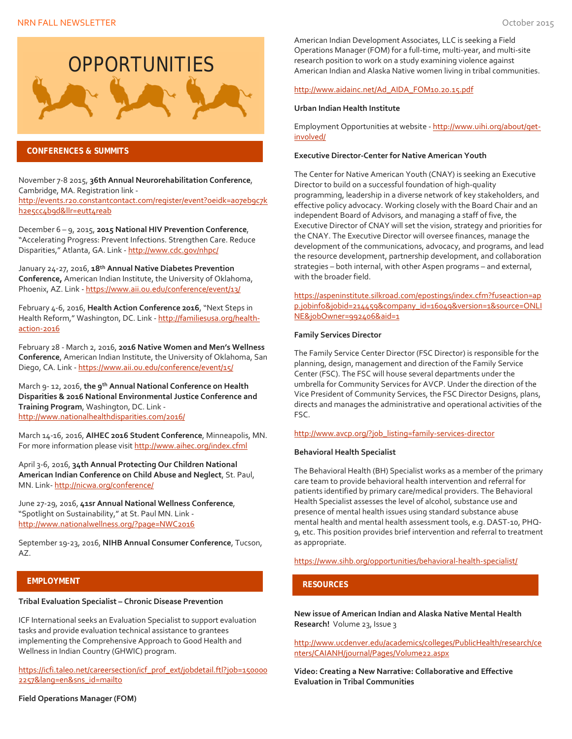

#### **CONFERENCES & SUMMITS**

November 7-8 2015, **36th Annual Neurorehabilitation Conference**, Cambridge, MA. Registration link [http://events.r20.constantcontact.com/register/event?oeidk=a07eb9c7k](http://events.r20.constantcontact.com/register/event?oeidk=a07eb9c7kh2e5cc4b9d&llr=eutt4reab) [h2e5cc4b9d&llr=eutt4reab](http://events.r20.constantcontact.com/register/event?oeidk=a07eb9c7kh2e5cc4b9d&llr=eutt4reab)

December 6 – 9, 2015, **2015 National HIV Prevention Conference**, "Accelerating Progress: Prevent Infections. Strengthen Care. Reduce Disparities," Atlanta, GA. Link - <http://www.cdc.gov/nhpc/>

January 24-27, 2016, **18th Annual Native Diabetes Prevention Conference,** American Indian Institute, the University of Oklahoma, Phoenix, AZ. Link - <https://www.aii.ou.edu/conference/event/13/>

February 4-6, 2016, **Health Action Conference 2016**, "Next Steps in Health Reform," Washington, DC. Link - [http://familiesusa.org/health](http://familiesusa.org/health-action-2016)[action-2016](http://familiesusa.org/health-action-2016)

February 28 - March 2, 2016, **2016 Native Women and Men's Wellness Conference**, American Indian Institute, the University of Oklahoma, San Diego, CA. Link - <https://www.aii.ou.edu/conference/event/15/>

March 9- 12, 2016, **the 9th Annual National Conference on Health Disparities & 2016 National Environmental Justice Conference and Training Program**, Washington, DC. Link <http://www.nationalhealthdisparities.com/2016/>

March 14-16, 2016, **AIHEC 2016 Student Conference**, Minneapolis, MN. For more information please visi[t http://www.aihec.org/index.cfml](http://www.aihec.org/index.cfml)

April 3-6, 2016, **34th Annual Protecting Our Children National American Indian Conference on Child Abuse and Neglect**, St. Paul, MN. Link- <http://nicwa.org/conference/>

June 27-29, 2016, **41sr Annual National Wellness Conference**, "Spotlight on Sustainability," at St. Paul MN. Link <http://www.nationalwellness.org/?page=NWC2016>

September 19-23, 2016, **NIHB Annual Consumer Conference**, Tucson, AZ.

#### **EMPLOYMENT**

#### **Tribal Evaluation Specialist – Chronic Disease Prevention**

ICF International seeks an Evaluation Specialist to support evaluation tasks and provide evaluation technical assistance to grantees implementing the Comprehensive Approach to Good Health and Wellness in Indian Country (GHWIC) program.

[https://icfi.taleo.net/careersection/icf\\_prof\\_ext/jobdetail.ftl?job=150000](https://icfi.taleo.net/careersection/icf_prof_ext/jobdetail.ftl?job=1500002257&lang=en&sns_id=mailto) [2257&lang=en&sns\\_id=mailto](https://icfi.taleo.net/careersection/icf_prof_ext/jobdetail.ftl?job=1500002257&lang=en&sns_id=mailto) 

American Indian Development Associates, LLC is seeking a Field Operations Manager (FOM) for a full-time, multi-year, and multi-site research position to work on a study examining violence against American Indian and Alaska Native women living in tribal communities.

#### [http://www.aidainc.net/Ad\\_AIDA\\_FOM10.20.15.pdf](http://www.aidainc.net/Ad_AIDA_FOM10.20.15.pdf)

#### **Urban Indian Health Institute**

Employment Opportunities at website - [http://www.uihi.org/about/get](http://www.uihi.org/about/get-involved/)[involved/](http://www.uihi.org/about/get-involved/)

#### **Executive Director-Center for Native American Youth**

The Center for Native American Youth (CNAY) is seeking an Executive Director to build on a successful foundation of high-quality programming, leadership in a diverse network of key stakeholders, and effective policy advocacy. Working closely with the Board Chair and an independent Board of Advisors, and managing a staff of five, the Executive Director of CNAY will set the vision, strategy and priorities for the CNAY. The Executive Director will oversee finances, manage the development of the communications, advocacy, and programs, and lead the resource development, partnership development, and collaboration strategies – both internal, with other Aspen programs – and external, with the broader field.

[https://aspeninstitute.silkroad.com/epostings/index.cfm?fuseaction=ap](https://aspeninstitute.silkroad.com/epostings/index.cfm?fuseaction=app.jobinfo&jobid=214459&company_id=16049&version=1&source=ONLINE&jobOwner=992406&aid=1) [p.jobinfo&jobid=214459&company\\_id=16049&version=1&source=ONLI](https://aspeninstitute.silkroad.com/epostings/index.cfm?fuseaction=app.jobinfo&jobid=214459&company_id=16049&version=1&source=ONLINE&jobOwner=992406&aid=1) [NE&jobOwner=992406&aid=1](https://aspeninstitute.silkroad.com/epostings/index.cfm?fuseaction=app.jobinfo&jobid=214459&company_id=16049&version=1&source=ONLINE&jobOwner=992406&aid=1)

#### **Family Services Director**

The Family Service Center Director (FSC Director) is responsible for the planning, design, management and direction of the Family Service Center (FSC). The FSC will house several departments under the umbrella for Community Services for AVCP. Under the direction of the Vice President of Community Services, the FSC Director Designs, plans, directs and manages the administrative and operational activities of the FSC.

#### [http://www.avcp.org/?job\\_listing=family-services-director](http://www.avcp.org/?job_listing=family-services-director)

#### **Behavioral Health Specialist**

The Behavioral Health (BH) Specialist works as a member of the primary care team to provide behavioral health intervention and referral for patients identified by primary care/medical providers. The Behavioral Health Specialist assesses the level of alcohol, substance use and presence of mental health issues using standard substance abuse mental health and mental health assessment tools, e.g. DAST-10, PHQ-9, etc. This position provides brief intervention and referral to treatment as appropriate.

<https://www.sihb.org/opportunities/behavioral-health-specialist/>

#### **RESOURCES**

**New issue of American Indian and Alaska Native Mental Health Research!** Volume 23, Issue 3

[http://www.ucdenver.edu/academics/colleges/PublicHealth/research/ce](http://www.ucdenver.edu/academics/colleges/PublicHealth/research/centers/CAIANH/journal/Pages/Volume22.aspx) [nters/CAIANH/journal/Pages/Volume22.aspx](http://www.ucdenver.edu/academics/colleges/PublicHealth/research/centers/CAIANH/journal/Pages/Volume22.aspx)

**Video: Creating a New Narrative: Collaborative and Effective Evaluation in Tribal Communities**

#### **Field Operations Manager (FOM)**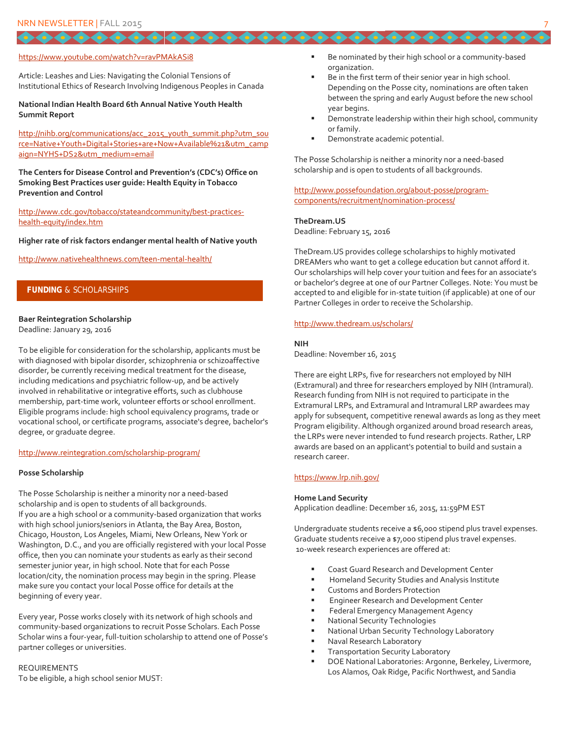#### <https://www.youtube.com/watch?v=ravPMAkASi8>

Article: Leashes and Lies: Navigating the Colonial Tensions of Institutional Ethics of Research Involving Indigenous Peoples in Canada

#### **National Indian Health Board 6th Annual Native Youth Health Summit Report**

[http://nihb.org/communications/acc\\_2015\\_youth\\_summit.php?utm\\_sou](http://nihb.org/communications/acc_2015_youth_summit.php?utm_source=Native+Youth+Digital+Stories+are+Now+Available%21&utm_campaign=NYHS+DS2&utm_medium=email) [rce=Native+Youth+Digital+Stories+are+Now+Available%21&utm\\_camp](http://nihb.org/communications/acc_2015_youth_summit.php?utm_source=Native+Youth+Digital+Stories+are+Now+Available%21&utm_campaign=NYHS+DS2&utm_medium=email) [aign=NYHS+DS2&utm\\_medium=email](http://nihb.org/communications/acc_2015_youth_summit.php?utm_source=Native+Youth+Digital+Stories+are+Now+Available%21&utm_campaign=NYHS+DS2&utm_medium=email)

**The Centers for Disease Control and Prevention's (CDC's) Office on Smoking Best Practices user guide: Health Equity in Tobacco Prevention and Control**

[http://www.cdc.gov/tobacco/stateandcommunity/best-practices](http://www.cdc.gov/tobacco/stateandcommunity/best-practices-health-equity/index.htm)[health-equity/index.htm](http://www.cdc.gov/tobacco/stateandcommunity/best-practices-health-equity/index.htm)

**Higher rate of risk factors endanger mental health of Native youth**

<http://www.nativehealthnews.com/teen-mental-health/>

#### **FUNDING** & SCHOLARSHIPS

#### **Baer Reintegration Scholarship**

Deadline: January 29, 2016

To be eligible for consideration for the scholarship, applicants must be with diagnosed with bipolar disorder, schizophrenia or schizoaffective disorder, be currently receiving medical treatment for the disease, including medications and psychiatric follow-up, and be actively involved in rehabilitative or integrative efforts, such as clubhouse membership, part-time work, volunteer efforts or school enrollment. Eligible programs include: high school equivalency programs, trade or vocational school, or certificate programs, associate's degree, bachelor's degree, or graduate degree.

#### <http://www.reintegration.com/scholarship-program/>

#### **Posse Scholarship**

The Posse Scholarship is neither a minority nor a need-based scholarship and is open to students of all backgrounds. If you are a high school or a community-based organization that works with high school juniors/seniors in Atlanta, the Bay Area, Boston, Chicago, Houston, Los Angeles, Miami, New Orleans, New York or Washington, D.C., and you are officially registered with your local Posse office, then you can nominate your students as early as their second semester junior year, in high school. Note that for each Posse location/city, the nomination process may begin in the spring. Please make sure you contact your local Posse office for details at the beginning of every year.

Every year, Posse works closely with its network of high schools and community-based organizations to recruit Posse Scholars. Each Posse Scholar wins a four-year, full-tuition scholarship to attend one of Posse's partner colleges or universities.

REQUIREMENTS To be eligible, a high school senior MUST:

- Be nominated by their high school or a community-based organization.
- Be in the first term of their senior year in high school. Depending on the Posse city, nominations are often taken between the spring and early August before the new school year begins.
- Demonstrate leadership within their high school, community or family.
- Demonstrate academic potential.

The Posse Scholarship is neither a minority nor a need-based scholarship and is open to students of all backgrounds.

[http://www.possefoundation.org/about-posse/program](http://www.possefoundation.org/about-posse/program-components/recruitment/nomination-process/)[components/recruitment/nomination-process/](http://www.possefoundation.org/about-posse/program-components/recruitment/nomination-process/)

#### **TheDream.US**

Deadline: February 15, 2016

TheDream.US provides college scholarships to highly motivated DREAMers who want to get a college education but cannot afford it. Our scholarships will help cover your tuition and fees for an associate's or bachelor's degree at one of our Partner Colleges. Note: You must be accepted to and eligible for in-state tuition (if applicable) at one of our Partner Colleges in order to receive the Scholarship.

#### <http://www.thedream.us/scholars/>

#### **NIH**

Deadline: November 16, 2015

There are eight LRPs, five for researchers not employed by NIH (Extramural) and three for researchers employed by NIH (Intramural). Research funding from NIH is not required to participate in the Extramural LRPs, and Extramural and Intramural LRP awardees may apply for subsequent, competitive renewal awards as long as they meet Program eligibility. Although organized around broad research areas, the LRPs were never intended to fund research projects. Rather, LRP awards are based on an applicant's potential to build and sustain a research career.

#### <https://www.lrp.nih.gov/>

#### **Home Land Security**

Application deadline: December 16, 2015, 11:59PM EST

Undergraduate students receive a \$6,000 stipend plus travel expenses. Graduate students receive a \$7,000 stipend plus travel expenses. 10-week research experiences are offered at:

- Coast Guard Research and Development Center
- Homeland Security Studies and Analysis Institute
- Customs and Borders Protection
- Engineer Research and Development Center
- Federal Emergency Management Agency
- National Security Technologies
- National Urban Security Technology Laboratory
- Naval Research Laboratory
- Transportation Security Laboratory
- DOE National Laboratories: Argonne, Berkeley, Livermore, Los Alamos, Oak Ridge, Pacific Northwest, and Sandia